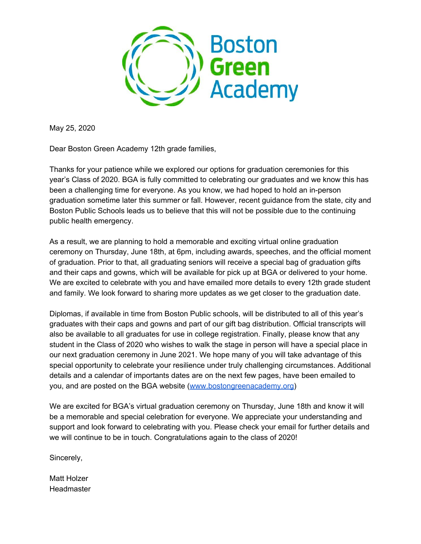

May 25, 2020

Dear Boston Green Academy 12th grade families,

Thanks for your patience while we explored our options for graduation ceremonies for this year's Class of 2020. BGA is fully committed to celebrating our graduates and we know this has been a challenging time for everyone. As you know, we had hoped to hold an in-person graduation sometime later this summer or fall. However, recent guidance from the state, city and Boston Public Schools leads us to believe that this will not be possible due to the continuing public health emergency.

As a result, we are planning to hold a memorable and exciting virtual online graduation ceremony on Thursday, June 18th, at 6pm, including awards, speeches, and the official moment of graduation. Prior to that, all graduating seniors will receive a special bag of graduation gifts and their caps and gowns, which will be available for pick up at BGA or delivered to your home. We are excited to celebrate with you and have emailed more details to every 12th grade student and family. We look forward to sharing more updates as we get closer to the graduation date.

Diplomas, if available in time from Boston Public schools, will be distributed to all of this year's graduates with their caps and gowns and part of our gift bag distribution. Official transcripts will also be available to all graduates for use in college registration. Finally, please know that any student in the Class of 2020 who wishes to walk the stage in person will have a special place in our next graduation ceremony in June 2021. We hope many of you will take advantage of this special opportunity to celebrate your resilience under truly challenging circumstances. Additional details and a calendar of importants dates are on the next few pages, have been emailed to you, and are posted on the BGA website [\(www.bostongreenacademy.org\)](http://www.bostongreenacademy.org/)

We are excited for BGA's virtual graduation ceremony on Thursday, June 18th and know it will be a memorable and special celebration for everyone. We appreciate your understanding and support and look forward to celebrating with you. Please check your email for further details and we will continue to be in touch. Congratulations again to the class of 2020!

Sincerely,

Matt Holzer Headmaster